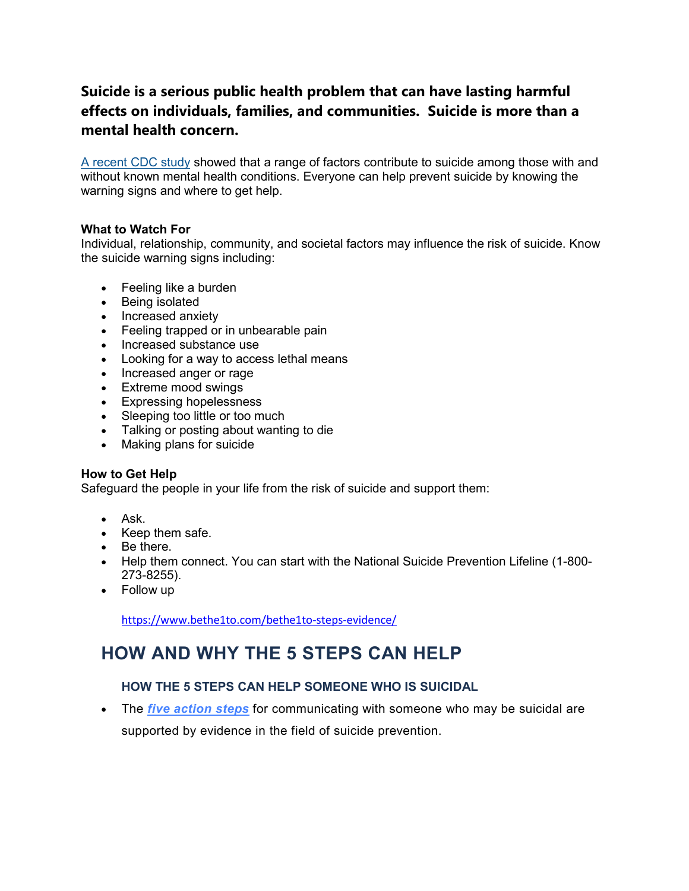## **Suicide is a serious public health problem that can have lasting harmful effects on individuals, families, and communities. Suicide is more than a mental health concern.**

[A recent CDC study](https://www.cdc.gov/vitalsigns/suicide/index.html) showed that a range of factors contribute to suicide among those with and without known mental health conditions. Everyone can help prevent suicide by knowing the warning signs and where to get help.

### **What to Watch For**

Individual, relationship, community, and societal factors may influence the risk of suicide. Know the suicide warning signs including:

- Feeling like a burden
- Being isolated
- Increased anxiety
- Feeling trapped or in unbearable pain
- Increased substance use
- Looking for a way to access lethal means
- Increased anger or rage
- Extreme mood swings
- Expressing hopelessness
- Sleeping too little or too much
- Talking or posting about wanting to die
- Making plans for suicide

#### **How to Get Help**

Safeguard the people in your life from the risk of suicide and support them:

- Ask.
- Keep them safe.
- Be there.
- Help them connect. You can start with the National Suicide Prevention Lifeline (1-800- 273-8255).
- Follow up

<https://www.bethe1to.com/bethe1to-steps-evidence/>

# **HOW AND WHY THE 5 STEPS CAN HELP**

## **HOW THE 5 STEPS CAN HELP SOMEONE WHO IS SUICIDAL**

• The *[five action steps](https://www.bethe1to.com/join/)* for communicating with someone who may be suicidal are supported by evidence in the field of suicide prevention.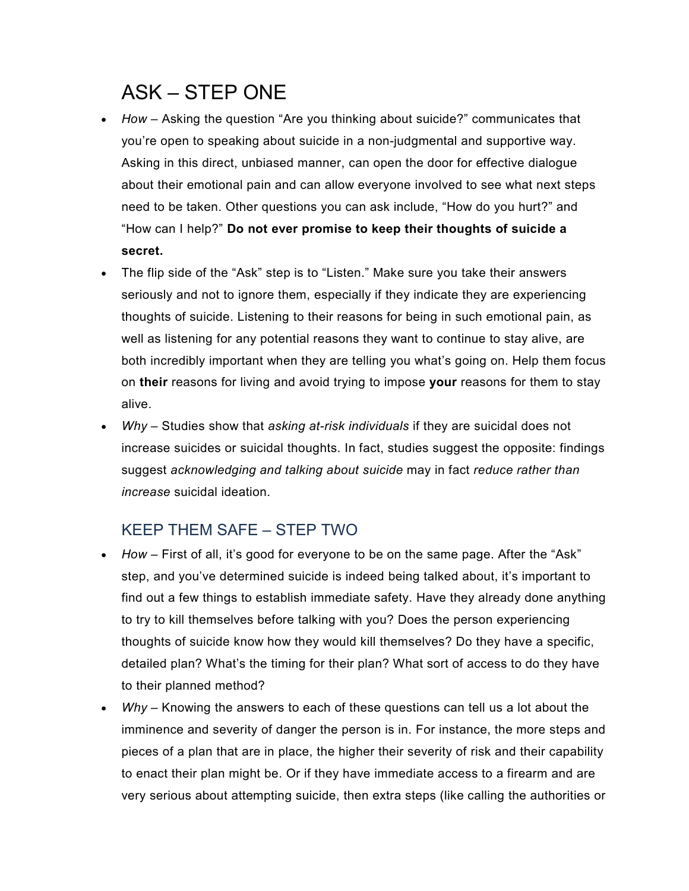# ASK – STEP ONE

- *How –* Asking the question "Are you thinking about suicide?" communicates that you're open to speaking about suicide in a non-judgmental and supportive way. Asking in this direct, unbiased manner, can open the door for effective dialogue about their emotional pain and can allow everyone involved to see what next steps need to be taken. Other questions you can ask include, "How do you hurt?" and "How can I help?" **Do not ever promise to keep their thoughts of suicide a secret.**
- The flip side of the "Ask" step is to "Listen." Make sure you take their answers seriously and not to ignore them, especially if they indicate they are experiencing thoughts of suicide. Listening to their reasons for being in such emotional pain, as well as listening for any potential reasons they want to continue to stay alive, are both incredibly important when they are telling you what's going on. Help them focus on **their** reasons for living and avoid trying to impose **your** reasons for them to stay alive.
- *Why –* Studies show that *[asking at-risk individuals](http://onlinelibrary.wiley.com/doi/10.1111/j.1943-278X.2012.0095.x/full)* if they are suicidal does not increase suicides or suicidal thoughts. In fact, studies suggest the opposite: findings suggest *[acknowledging and talking about suicide](http://www.ncbi.nlm.nih.gov/pubmed/15811983)* may in fact *[reduce rather than](http://www.ncbi.nlm.nih.gov/pubmed/24998511)  [increase](http://www.ncbi.nlm.nih.gov/pubmed/24998511)* suicidal ideation.

# KEEP THEM SAFE – STEP TWO

- *How* First of all, it's good for everyone to be on the same page. After the "Ask" step, and you've determined suicide is indeed being talked about, it's important to find out a few things to establish immediate safety. Have they already done anything to try to kill themselves before talking with you? Does the person experiencing thoughts of suicide know how they would kill themselves? Do they have a specific, detailed plan? What's the timing for their plan? What sort of access to do they have to their planned method?
- *Why* Knowing the answers to each of these questions can tell us a lot about the imminence and severity of danger the person is in. For instance, the more steps and pieces of a plan that are in place, the higher their severity of risk and their capability to enact their plan might be. Or if they have immediate access to a firearm and are very serious about attempting suicide, then extra steps (like calling the authorities or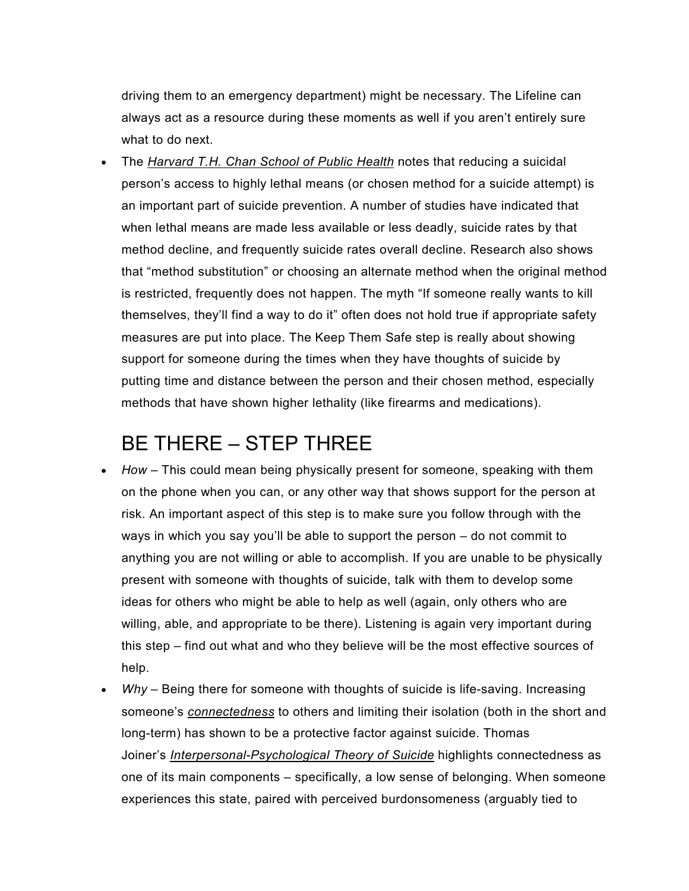driving them to an emergency department) might be necessary. The Lifeline can always act as a resource during these moments as well if you aren't entirely sure what to do next.

• The *[Harvard T.H. Chan School of Public Health](https://www.hsph.harvard.edu/means-matter/)* notes that reducing a suicidal person's access to highly lethal means (or chosen method for a suicide attempt) is an important part of suicide prevention. A number of studies have indicated that when lethal means are made less available or less deadly, suicide rates by that method decline, and frequently suicide rates overall decline. Research also shows that "method substitution" or choosing an alternate method when the original method is restricted, frequently does not happen. The myth "If someone really wants to kill themselves, they'll find a way to do it" often does not hold true if appropriate safety measures are put into place. The Keep Them Safe step is really about showing support for someone during the times when they have thoughts of suicide by putting time and distance between the person and their chosen method, especially methods that have shown higher lethality (like firearms and medications).

# BE THERE – STEP THREE

- *How* This could mean being physically present for someone, speaking with them on the phone when you can, or any other way that shows support for the person at risk. An important aspect of this step is to make sure you follow through with the ways in which you say you'll be able to support the person – do not commit to anything you are not willing or able to accomplish. If you are unable to be physically present with someone with thoughts of suicide, talk with them to develop some ideas for others who might be able to help as well (again, only others who are willing, able, and appropriate to be there). Listening is again very important during this step – find out what and who they believe will be the most effective sources of help.
- *Why* Being there for someone with thoughts of suicide is life-saving. Increasing someone's *[connectedness](https://www.cdc.gov/ViolencePrevention/pdf/Suicide_Strategic_Direction_Full_Version-a.pdf)* to others and limiting their isolation (both in the short and long-term) has shown to be a protective factor against suicide. Thomas Joiner's *[Interpersonal-Psychological Theory of Suicide](http://www.apa.org/science/about/psa/2009/06/sci-brief.aspx)* highlights connectedness as one of its main components – specifically, a low sense of belonging. When someone experiences this state, paired with perceived burdonsomeness (arguably tied to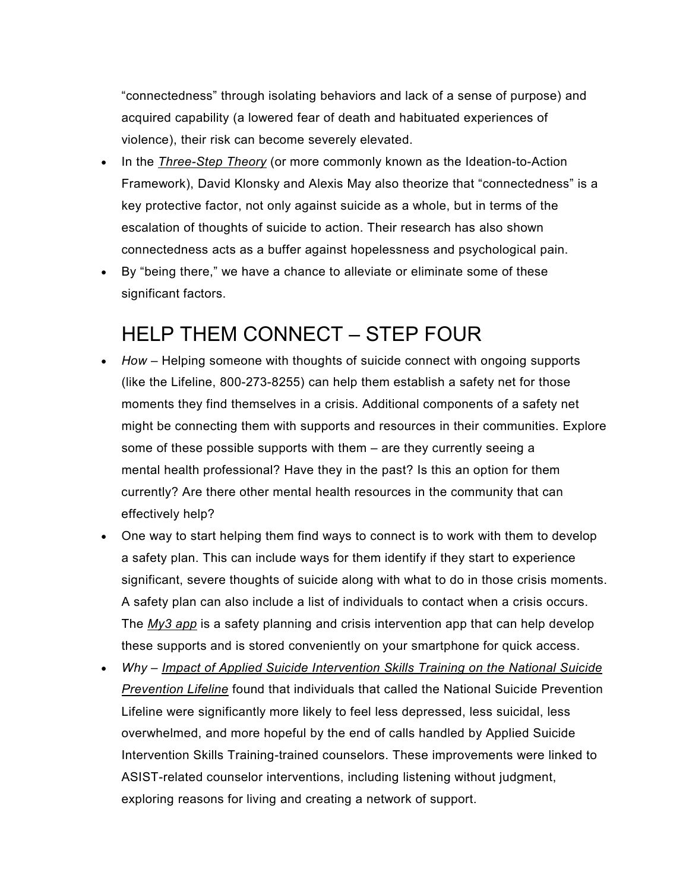"connectedness" through isolating behaviors and lack of a sense of purpose) and acquired capability (a lowered fear of death and habituated experiences of violence), their risk can become severely elevated.

- In the *[Three-Step Theory](http://guilfordjournals.com/doi/abs/10.1521/ijct.2015.8.2.114?journalCode=ijct)* (or more commonly known as the Ideation-to-Action Framework), David Klonsky and Alexis May also theorize that "connectedness" is a key protective factor, not only against suicide as a whole, but in terms of the escalation of thoughts of suicide to action. Their research has also shown connectedness acts as a buffer against hopelessness and psychological pain.
- By "being there," we have a chance to alleviate or eliminate some of these significant factors.

# HELP THEM CONNECT – STEP FOUR

- *How* Helping someone with thoughts of suicide connect with ongoing supports (like the Lifeline, 800-273-8255) can help them establish a safety net for those moments they find themselves in a crisis. Additional components of a safety net might be connecting them with supports and resources in their communities. Explore some of these possible supports with them – are they currently seeing a mental health professional? Have they in the past? Is this an option for them currently? Are there other mental health resources in the community that can effectively help?
- One way to start helping them find ways to connect is to work with them to develop a safety plan. This can include ways for them identify if they start to experience significant, severe thoughts of suicide along with what to do in those crisis moments. A safety plan can also include a list of individuals to contact when a crisis occurs. The *[My3 app](http://my3app.org/)* is a safety planning and crisis intervention app that can help develop these supports and is stored conveniently on your smartphone for quick access.
- *Why – [Impact of Applied Suicide Intervention Skills Training on the National Suicide](http://www.ncbi.nlm.nih.gov/pubmed/23889494)  [Prevention Lifeline](http://www.ncbi.nlm.nih.gov/pubmed/23889494)* found that individuals that called the National Suicide Prevention Lifeline were significantly more likely to feel less depressed, less suicidal, less overwhelmed, and more hopeful by the end of calls handled by Applied Suicide Intervention Skills Training-trained counselors. These improvements were linked to ASIST-related counselor interventions, including listening without judgment, exploring reasons for living and creating a network of support.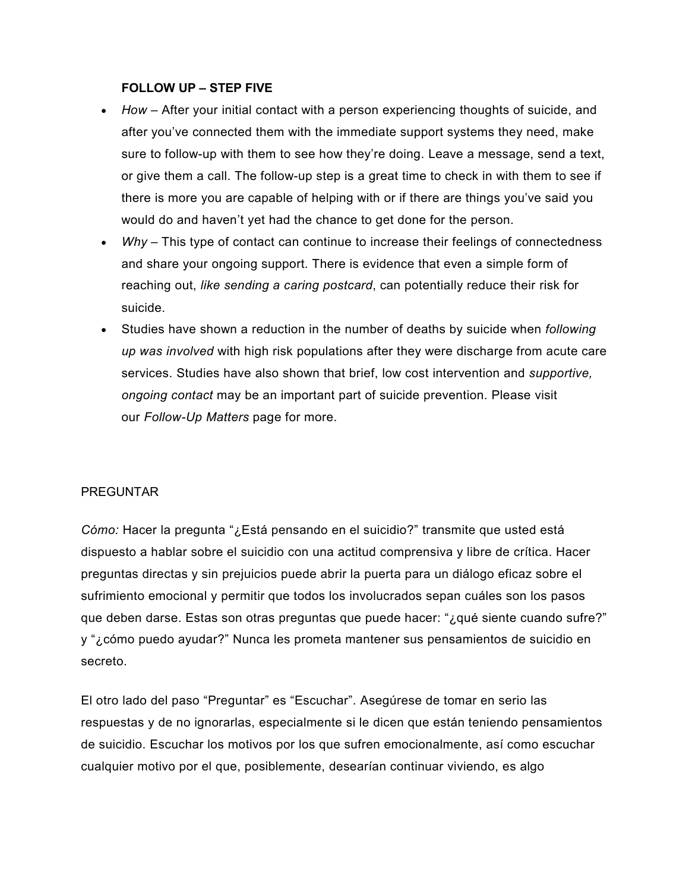## **FOLLOW UP – STEP FIVE**

- *How* After your initial contact with a person experiencing thoughts of suicide, and after you've connected them with the immediate support systems they need, make sure to follow-up with them to see how they're doing. Leave a message, send a text, or give them a call. The follow-up step is a great time to check in with them to see if there is more you are capable of helping with or if there are things you've said you would do and haven't yet had the chance to get done for the person.
- *Why* This type of contact can continue to increase their feelings of connectedness and share your ongoing support. There is evidence that even a simple form of reaching out, *[like sending a caring postcard](https://stanford.app.box.com/s/kb7alrpx6trlxzyebxm0l8xehxk8ayax)*, can potentially reduce their risk for suicide.
- Studies have shown a reduction in the number of deaths by suicide when *[following](http://www.ncbi.nlm.nih.gov/pubmed/11376235)  [up was involved](http://www.ncbi.nlm.nih.gov/pubmed/11376235)* with high risk populations after they were discharge from acute care services. Studies have also shown that brief, low cost intervention and *[supportive,](http://www.who.int/bulletin/volumes/86/9/07-046995.pdf)  [ongoing contact](http://www.who.int/bulletin/volumes/86/9/07-046995.pdf)* may be an important part of suicide prevention. Please visit our *[Follow-Up Matters](http://followupmatters.suicidepreventionlifeline.org/)* page for more.

## PREGUNTAR

*Cómo:* Hacer la pregunta "¿Está pensando en el suicidio?" transmite que usted está dispuesto a hablar sobre el suicidio con una actitud comprensiva y libre de crítica. Hacer preguntas directas y sin prejuicios puede abrir la puerta para un diálogo eficaz sobre el sufrimiento emocional y permitir que todos los involucrados sepan cuáles son los pasos que deben darse. Estas son otras preguntas que puede hacer: "¿qué siente cuando sufre?" y "¿cómo puedo ayudar?" Nunca les prometa mantener sus pensamientos de suicidio en secreto.

El otro lado del paso "Preguntar" es "Escuchar". Asegúrese de tomar en serio las respuestas y de no ignorarlas, especialmente si le dicen que están teniendo pensamientos de suicidio. Escuchar los motivos por los que sufren emocionalmente, así como escuchar cualquier motivo por el que, posiblemente, desearían continuar viviendo, es algo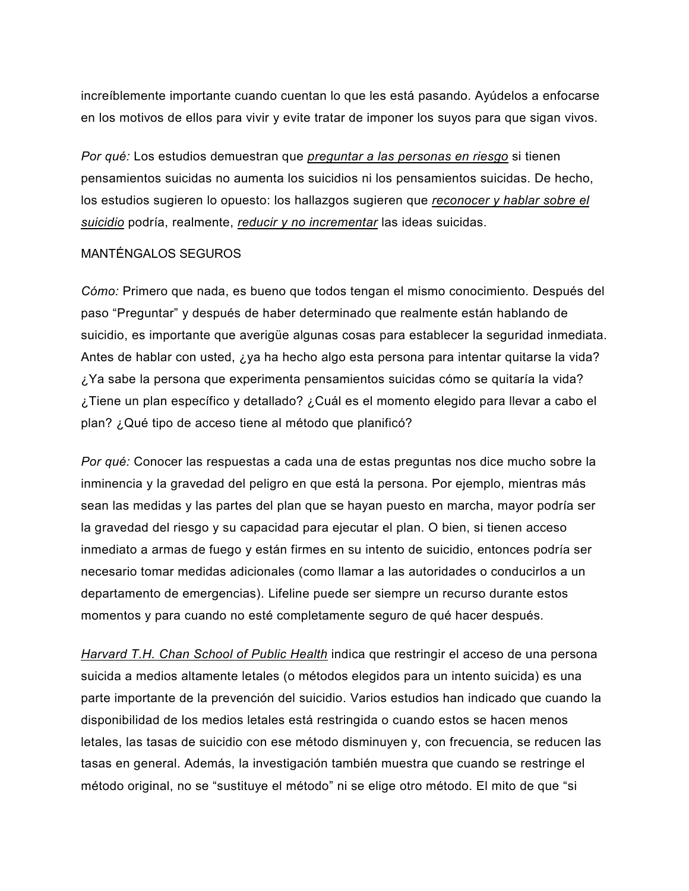increíblemente importante cuando cuentan lo que les está pasando. Ayúdelos a enfocarse en los motivos de ellos para vivir y evite tratar de imponer los suyos para que sigan vivos.

*Por qué:* Los estudios demuestran que *[preguntar a las personas en riesgo](http://onlinelibrary.wiley.com/doi/10.1111/j.1943-278X.2012.0095.x/full)* si tienen pensamientos suicidas no aumenta los suicidios ni los pensamientos suicidas. De hecho, los estudios sugieren lo opuesto: los hallazgos sugieren que *[reconocer y hablar sobre el](http://www.ncbi.nlm.nih.gov/pubmed/15811983)  [suicidio](http://www.ncbi.nlm.nih.gov/pubmed/15811983)* podría, realmente, *[reducir y no incrementar](http://www.ncbi.nlm.nih.gov/pubmed/24998511)* las ideas suicidas.

### MANTÉNGALOS SEGUROS

*Cómo:* Primero que nada, es bueno que todos tengan el mismo conocimiento. Después del paso "Preguntar" y después de haber determinado que realmente están hablando de suicidio, es importante que averigüe algunas cosas para establecer la seguridad inmediata. Antes de hablar con usted, ¿ya ha hecho algo esta persona para intentar quitarse la vida? ¿Ya sabe la persona que experimenta pensamientos suicidas cómo se quitaría la vida? ¿Tiene un plan específico y detallado? ¿Cuál es el momento elegido para llevar a cabo el plan? ¿Qué tipo de acceso tiene al método que planificó?

*Por qué:* Conocer las respuestas a cada una de estas preguntas nos dice mucho sobre la inminencia y la gravedad del peligro en que está la persona. Por ejemplo, mientras más sean las medidas y las partes del plan que se hayan puesto en marcha, mayor podría ser la gravedad del riesgo y su capacidad para ejecutar el plan. O bien, si tienen acceso inmediato a armas de fuego y están firmes en su intento de suicidio, entonces podría ser necesario tomar medidas adicionales (como llamar a las autoridades o conducirlos a un departamento de emergencias). Lifeline puede ser siempre un recurso durante estos momentos y para cuando no esté completamente seguro de qué hacer después.

*[Harvard T.H. Chan School of Public Health](https://www.hsph.harvard.edu/means-matter/)* indica que restringir el acceso de una persona suicida a medios altamente letales (o métodos elegidos para un intento suicida) es una parte importante de la prevención del suicidio. Varios estudios han indicado que cuando la disponibilidad de los medios letales está restringida o cuando estos se hacen menos letales, las tasas de suicidio con ese método disminuyen y, con frecuencia, se reducen las tasas en general. Además, la investigación también muestra que cuando se restringe el método original, no se "sustituye el método" ni se elige otro método. El mito de que "si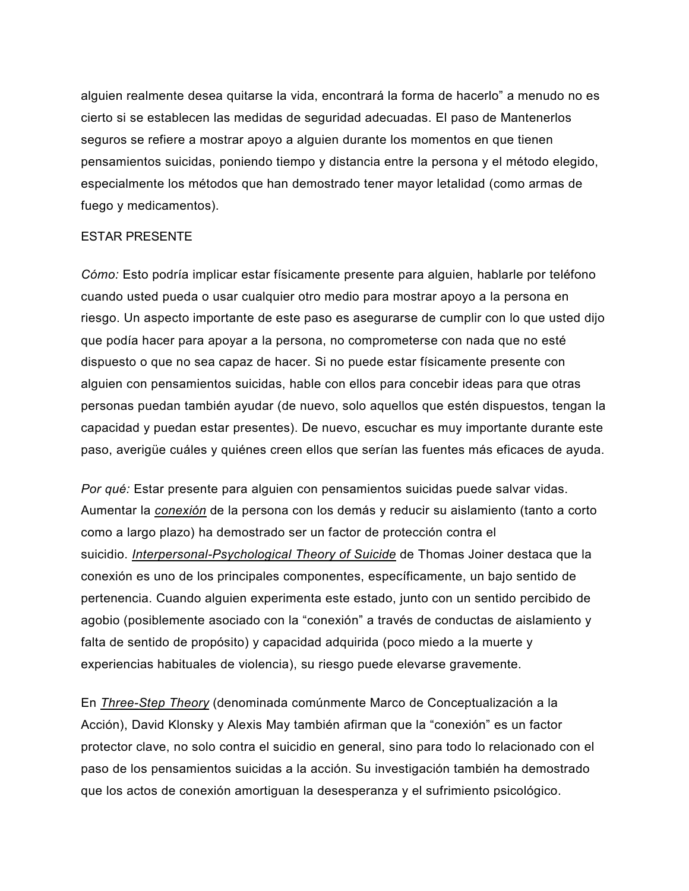alguien realmente desea quitarse la vida, encontrará la forma de hacerlo" a menudo no es cierto si se establecen las medidas de seguridad adecuadas. El paso de Mantenerlos seguros se refiere a mostrar apoyo a alguien durante los momentos en que tienen pensamientos suicidas, poniendo tiempo y distancia entre la persona y el método elegido, especialmente los métodos que han demostrado tener mayor letalidad (como armas de fuego y medicamentos).

### ESTAR PRESENTE

*Cómo:* Esto podría implicar estar físicamente presente para alguien, hablarle por teléfono cuando usted pueda o usar cualquier otro medio para mostrar apoyo a la persona en riesgo. Un aspecto importante de este paso es asegurarse de cumplir con lo que usted dijo que podía hacer para apoyar a la persona, no comprometerse con nada que no esté dispuesto o que no sea capaz de hacer. Si no puede estar físicamente presente con alguien con pensamientos suicidas, hable con ellos para concebir ideas para que otras personas puedan también ayudar (de nuevo, solo aquellos que estén dispuestos, tengan la capacidad y puedan estar presentes). De nuevo, escuchar es muy importante durante este paso, averigüe cuáles y quiénes creen ellos que serían las fuentes más eficaces de ayuda.

*Por qué:* Estar presente para alguien con pensamientos suicidas puede salvar vidas. Aumentar la *[conexión](https://www.cdc.gov/ViolencePrevention/pdf/Suicide_Strategic_Direction_Full_Version-a.pdf)* de la persona con los demás y reducir su aislamiento (tanto a corto como a largo plazo) ha demostrado ser un factor de protección contra el suicidio. *[Interpersonal-Psychological Theory of Suicide](http://www.apa.org/science/about/psa/2009/06/sci-brief.aspx)* de Thomas Joiner destaca que la conexión es uno de los principales componentes, específicamente, un bajo sentido de pertenencia. Cuando alguien experimenta este estado, junto con un sentido percibido de agobio (posiblemente asociado con la "conexión" a través de conductas de aislamiento y falta de sentido de propósito) y capacidad adquirida (poco miedo a la muerte y experiencias habituales de violencia), su riesgo puede elevarse gravemente.

En *[Three-Step Theory](http://guilfordjournals.com/doi/abs/10.1521/ijct.2015.8.2.114?journalCode=ijct)* (denominada comúnmente Marco de Conceptualización a la Acción), David Klonsky y Alexis May también afirman que la "conexión" es un factor protector clave, no solo contra el suicidio en general, sino para todo lo relacionado con el paso de los pensamientos suicidas a la acción. Su investigación también ha demostrado que los actos de conexión amortiguan la desesperanza y el sufrimiento psicológico.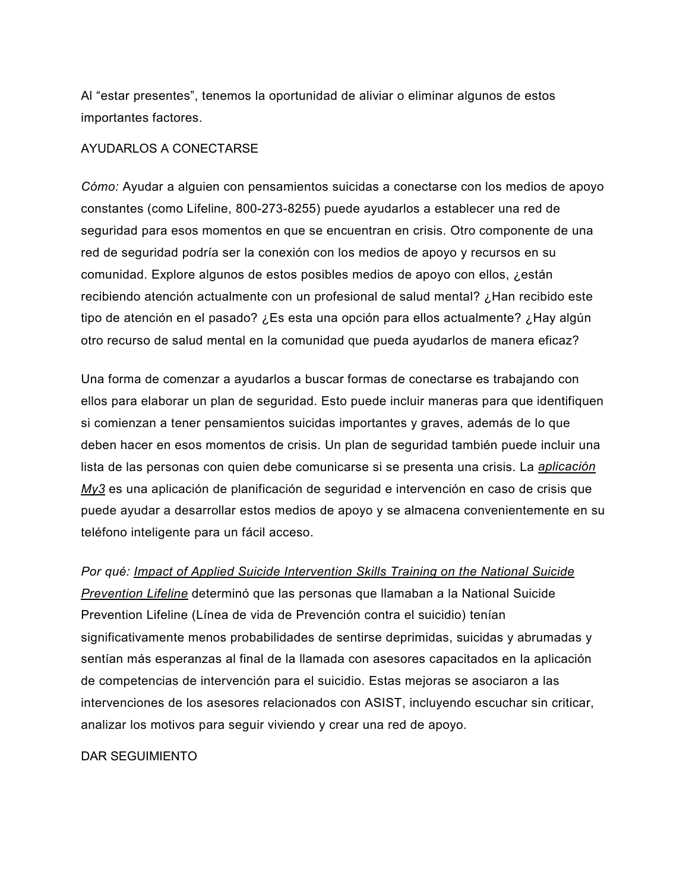Al "estar presentes", tenemos la oportunidad de aliviar o eliminar algunos de estos importantes factores.

## AYUDARLOS A CONECTARSE

*Cómo:* Ayudar a alguien con pensamientos suicidas a conectarse con los medios de apoyo constantes (como Lifeline, 800-273-8255) puede ayudarlos a establecer una red de seguridad para esos momentos en que se encuentran en crisis. Otro componente de una red de seguridad podría ser la conexión con los medios de apoyo y recursos en su comunidad. Explore algunos de estos posibles medios de apoyo con ellos, ¿están recibiendo atención actualmente con un profesional de salud mental? ¿Han recibido este tipo de atención en el pasado? ¿Es esta una opción para ellos actualmente? ¿Hay algún otro recurso de salud mental en la comunidad que pueda ayudarlos de manera eficaz?

Una forma de comenzar a ayudarlos a buscar formas de conectarse es trabajando con ellos para elaborar un plan de seguridad. Esto puede incluir maneras para que identifiquen si comienzan a tener pensamientos suicidas importantes y graves, además de lo que deben hacer en esos momentos de crisis. Un plan de seguridad también puede incluir una lista de las personas con quien debe comunicarse si se presenta una crisis. La *[aplicación](http://my3app.org/)  [My3](http://my3app.org/)* es una aplicación de planificación de seguridad e intervención en caso de crisis que puede ayudar a desarrollar estos medios de apoyo y se almacena convenientemente en su teléfono inteligente para un fácil acceso.

#### *Por qué: [Impact of Applied Suicide Intervention Skills Training on the National Suicide](http://www.ncbi.nlm.nih.gov/pubmed/23889494)*

*[Prevention Lifeline](http://www.ncbi.nlm.nih.gov/pubmed/23889494)* determinó que las personas que llamaban a la National Suicide Prevention Lifeline (Línea de vida de Prevención contra el suicidio) tenían significativamente menos probabilidades de sentirse deprimidas, suicidas y abrumadas y sentían más esperanzas al final de la llamada con asesores capacitados en la aplicación de competencias de intervención para el suicidio. Estas mejoras se asociaron a las intervenciones de los asesores relacionados con ASIST, incluyendo escuchar sin criticar, analizar los motivos para seguir viviendo y crear una red de apoyo.

## DAR SEGUIMIENTO